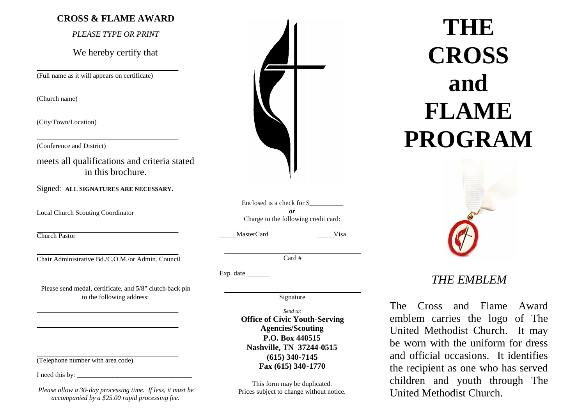### **CROSS & FLAME AWARD**

*PLEASE TYPE OR PRINT*

We hereby certify that

(Full name as it will appears on certificate)

(Church name)

(City/Town/Location)

(Conference and District)

meets all qualifications and criteria stated in this brochure.

Signed: **ALL SIGNATURES ARE NECESSARY.**

Local Church Scouting Coordinator

Church Pastor

Chair Administrative Bd./C.O.M./or Admin. Council

Please send medal, certificate, and 5/8" clutch-back pin to the following address:

(Telephone number with area code)

I need this by:

*Please allow a 30-day processing time. If less, it must be accompanied by a \$25.00 rapid processing fee.*

Enclosed is a check for \$\_\_\_\_\_\_\_\_\_\_ *or* Charge to the following credit card:

MasterCard Visa

Card #

Exp. date

Signature

*Send to:*

**Office of Civic Youth-Serving Agencies/Scouting P.O. Box 440515 Nashville, TN 37244-0515 (615) 340-7145 Fax (615) 340-1770**

This form may be duplicated. Prices subject to change without notice.

**THE CROSS and FLAME PROGRAM**



# *THE EMBLEM*

The Cross and Flame Award emblem carries the logo of The United Methodist Church. It may be worn with the uniform for dress and official occasions. It identifies the recipient as one who has served children and youth through The United Methodist Church.